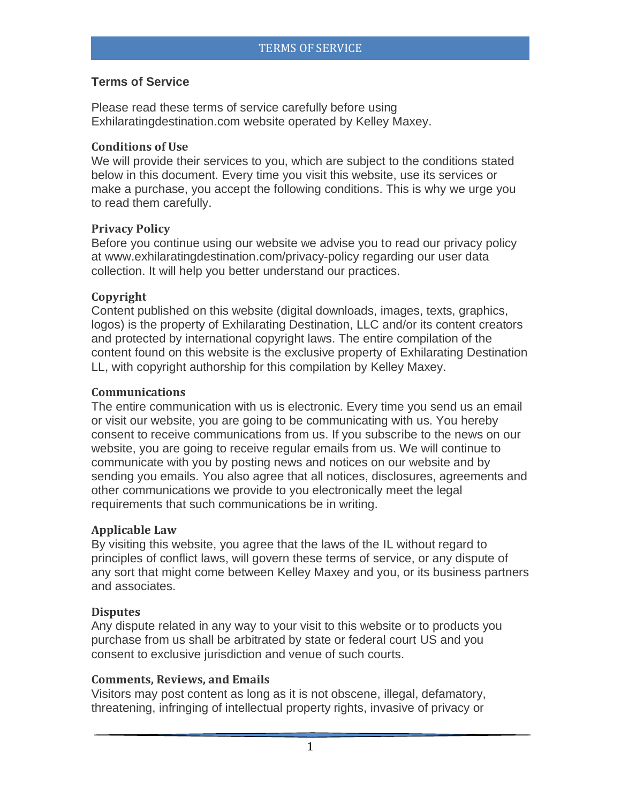# **Terms of Service**

Please read these terms of service carefully before using Exhilaratingdestination.com website operated by Kelley Maxey.

### **Conditions of Use**

We will provide their services to you, which are subject to the conditions stated below in this document. Every time you visit this website, use its services or make a purchase, you accept the following conditions. This is why we urge you to read them carefully.

# **Privacy Policy**

Before you continue using our website we advise you to read our privacy policy at www.exhilaratingdestination.com/privacy-policy regarding our user data collection. It will help you better understand our practices.

### **Copyright**

Content published on this website (digital downloads, images, texts, graphics, logos) is the property of Exhilarating Destination, LLC and/or its content creators and protected by international copyright laws. The entire compilation of the content found on this website is the exclusive property of Exhilarating Destination LL, with copyright authorship for this compilation by Kelley Maxey.

### **Communications**

The entire communication with us is electronic. Every time you send us an email or visit our website, you are going to be communicating with us. You hereby consent to receive communications from us. If you subscribe to the news on our website, you are going to receive regular emails from us. We will continue to communicate with you by posting news and notices on our website and by sending you emails. You also agree that all notices, disclosures, agreements and other communications we provide to you electronically meet the legal requirements that such communications be in writing.

### **Applicable Law**

By visiting this website, you agree that the laws of the IL without regard to principles of conflict laws, will govern these terms of service, or any dispute of any sort that might come between Kelley Maxey and you, or its business partners and associates.

### **Disputes**

Any dispute related in any way to your visit to this website or to products you purchase from us shall be arbitrated by state or federal court US and you consent to exclusive jurisdiction and venue of such courts.

### **Comments, Reviews, and Emails**

Visitors may post content as long as it is not obscene, illegal, defamatory, threatening, infringing of intellectual property rights, invasive of privacy or